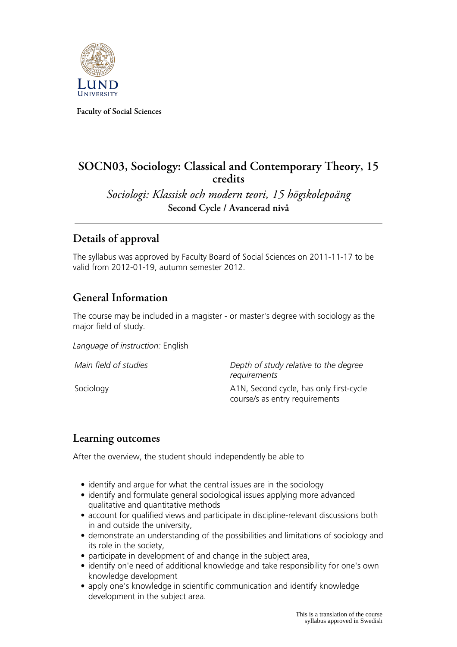

**Faculty of Social Sciences**

# **SOCN03, Sociology: Classical and Contemporary Theory, 15 credits**

*Sociologi: Klassisk och modern teori, 15 högskolepoäng* **Second Cycle / Avancerad nivå**

## **Details of approval**

The syllabus was approved by Faculty Board of Social Sciences on 2011-11-17 to be valid from 2012-01-19, autumn semester 2012.

## **General Information**

The course may be included in a magister - or master's degree with sociology as the major field of study.

*Language of instruction:* English

| Main field of studies | Depth of study relative to the degree<br>requirements                     |
|-----------------------|---------------------------------------------------------------------------|
| Sociology             | A1N, Second cycle, has only first-cycle<br>course/s as entry requirements |

### **Learning outcomes**

After the overview, the student should independently be able to

- identify and argue for what the central issues are in the sociology
- identify and formulate general sociological issues applying more advanced qualitative and quantitative methods
- account for qualified views and participate in discipline-relevant discussions both in and outside the university,
- demonstrate an understanding of the possibilities and limitations of sociology and its role in the society,
- participate in development of and change in the subject area,
- identify on'e need of additional knowledge and take responsibility for one's own knowledge development
- apply one's knowledge in scientific communication and identify knowledge development in the subject area.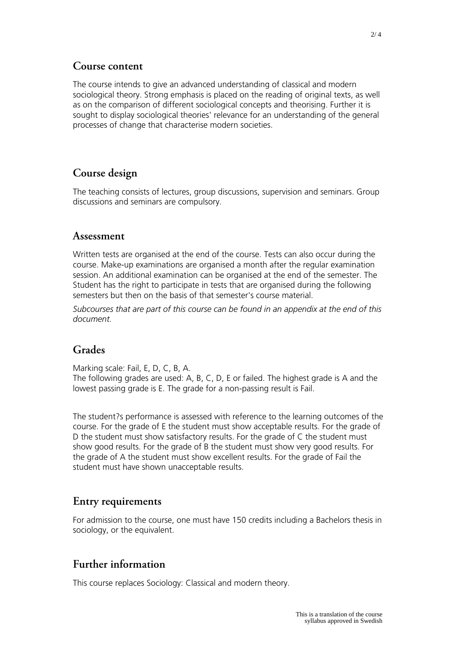#### **Course content**

The course intends to give an advanced understanding of classical and modern sociological theory. Strong emphasis is placed on the reading of original texts, as well as on the comparison of different sociological concepts and theorising. Further it is sought to display sociological theories' relevance for an understanding of the general processes of change that characterise modern societies.

### **Course design**

The teaching consists of lectures, group discussions, supervision and seminars. Group discussions and seminars are compulsory.

#### **Assessment**

Written tests are organised at the end of the course. Tests can also occur during the course. Make-up examinations are organised a month after the regular examination session. An additional examination can be organised at the end of the semester. The Student has the right to participate in tests that are organised during the following semesters but then on the basis of that semester's course material.

*Subcourses that are part of this course can be found in an appendix at the end of this document.*

#### **Grades**

Marking scale: Fail, E, D, C, B, A. The following grades are used: A, B, C, D, E or failed. The highest grade is A and the lowest passing grade is E. The grade for a non-passing result is Fail.

The student?s performance is assessed with reference to the learning outcomes of the course. For the grade of E the student must show acceptable results. For the grade of D the student must show satisfactory results. For the grade of C the student must show good results. For the grade of B the student must show very good results. For the grade of A the student must show excellent results. For the grade of Fail the student must have shown unacceptable results.

### **Entry requirements**

For admission to the course, one must have 150 credits including a Bachelors thesis in sociology, or the equivalent.

### **Further information**

This course replaces Sociology: Classical and modern theory.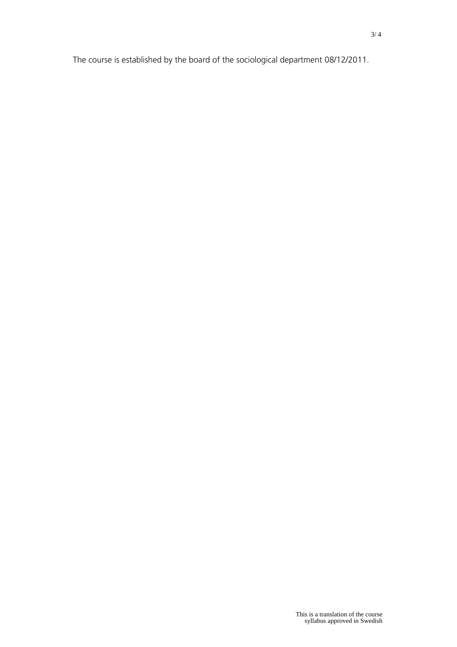The course is established by the board of the sociological department 08/12/2011.